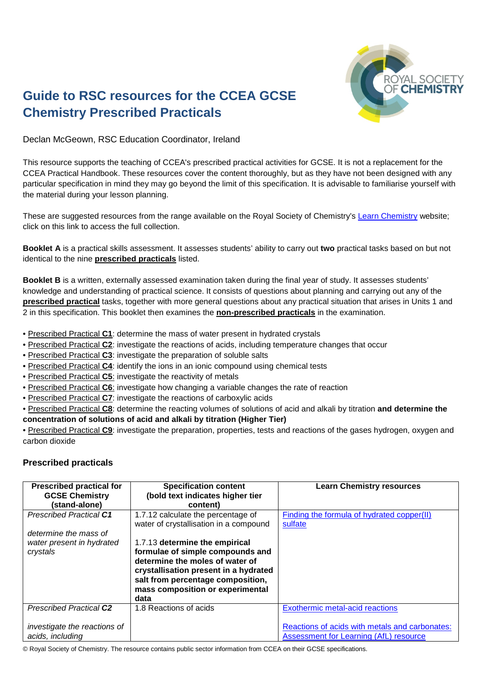

## **Guide to RSC resources for the CCEA GCSE Chemistry Prescribed Practicals**

Declan McGeown, RSC Education Coordinator, Ireland

This resource supports the teaching of CCEA's prescribed practical activities for GCSE. It is not a replacement for the CCEA Practical Handbook. These resources cover the content thoroughly, but as they have not been designed with any particular specification in mind they may go beyond the limit of this specification. It is advisable to familiarise yourself with the material during your lesson planning.

These are suggested resources from the range available on the Royal Society of Chemistry's [Learn Chemistry](http://www.rsc.org/learn-chemistry) website; click on this link to access the full collection.

**Booklet A** is a practical skills assessment. It assesses students' ability to carry out **two** practical tasks based on but not identical to the nine **prescribed practicals** listed.

**Booklet B** is a written, externally assessed examination taken during the final year of study. It assesses students' knowledge and understanding of practical science. It consists of questions about planning and carrying out any of the **prescribed practical** tasks, together with more general questions about any practical situation that arises in Units 1 and 2 in this specification. This booklet then examines the **non-prescribed practicals** in the examination.

- Prescribed Practical **C1**: determine the mass of water present in hydrated crystals
- Prescribed Practical **C2**: investigate the reactions of acids, including temperature changes that occur
- Prescribed Practical **C3**: investigate the preparation of soluble salts
- Prescribed Practical **C4**: identify the ions in an ionic compound using chemical tests
- Prescribed Practical **C5**: investigate the reactivity of metals
- Prescribed Practical **C6**: investigate how changing a variable changes the rate of reaction
- Prescribed Practical **C7**: investigate the reactions of carboxylic acids
- Prescribed Practical **C8**: determine the reacting volumes of solutions of acid and alkali by titration **and determine the**
- **concentration of solutions of acid and alkali by titration (Higher Tier)**

• Prescribed Practical **C9**: investigate the preparation, properties, tests and reactions of the gases hydrogen, oxygen and carbon dioxide

## **Prescribed practicals**

| <b>Prescribed practical for</b><br><b>GCSE Chemistry</b><br>(stand-alone) | <b>Specification content</b><br>(bold text indicates higher tier<br>content)                                                                                                                                                    | <b>Learn Chemistry resources</b>                                                         |
|---------------------------------------------------------------------------|---------------------------------------------------------------------------------------------------------------------------------------------------------------------------------------------------------------------------------|------------------------------------------------------------------------------------------|
| <b>Prescribed Practical C1</b><br>determine the mass of                   | 1.7.12 calculate the percentage of<br>water of crystallisation in a compound                                                                                                                                                    | Finding the formula of hydrated copper(II)<br>sulfate                                    |
| water present in hydrated<br>crystals                                     | 1.7.13 determine the empirical<br>formulae of simple compounds and<br>determine the moles of water of<br>crystallisation present in a hydrated<br>salt from percentage composition,<br>mass composition or experimental<br>data |                                                                                          |
| <b>Prescribed Practical C2</b>                                            | 1.8 Reactions of acids                                                                                                                                                                                                          | Exothermic metal-acid reactions                                                          |
| investigate the reactions of<br>acids, including                          |                                                                                                                                                                                                                                 | Reactions of acids with metals and carbonates:<br>Assessment for Learning (AfL) resource |

© Royal Society of Chemistry. The resource contains public sector information from CCEA on their GCSE specifications.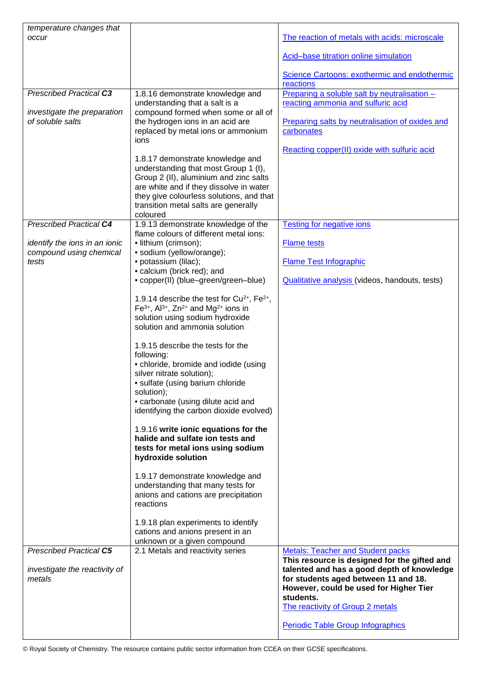| temperature changes that<br>occur |                                                                                     | The reaction of metals with acids: microscale                                      |
|-----------------------------------|-------------------------------------------------------------------------------------|------------------------------------------------------------------------------------|
|                                   |                                                                                     |                                                                                    |
|                                   |                                                                                     | Acid-base titration online simulation                                              |
|                                   |                                                                                     | Science Cartoons: exothermic and endothermic                                       |
| <b>Prescribed Practical C3</b>    |                                                                                     | reactions                                                                          |
|                                   | 1.8.16 demonstrate knowledge and<br>understanding that a salt is a                  | Preparing a soluble salt by neutralisation -<br>reacting ammonia and sulfuric acid |
| investigate the preparation       | compound formed when some or all of                                                 |                                                                                    |
| of soluble salts                  | the hydrogen ions in an acid are                                                    | Preparing salts by neutralisation of oxides and                                    |
|                                   | replaced by metal ions or ammonium<br>ions                                          | carbonates                                                                         |
|                                   |                                                                                     | Reacting copper(II) oxide with sulfuric acid                                       |
|                                   | 1.8.17 demonstrate knowledge and<br>understanding that most Group 1 (I),            |                                                                                    |
|                                   | Group 2 (II), aluminium and zinc salts                                              |                                                                                    |
|                                   | are white and if they dissolve in water                                             |                                                                                    |
|                                   | they give colourless solutions, and that<br>transition metal salts are generally    |                                                                                    |
|                                   | coloured                                                                            |                                                                                    |
| <b>Prescribed Practical C4</b>    | 1.9.13 demonstrate knowledge of the<br>flame colours of different metal ions:       | <b>Testing for negative ions</b>                                                   |
| identify the ions in an ionic     | • lithium (crimson);                                                                | <b>Flame tests</b>                                                                 |
| compound using chemical           | · sodium (yellow/orange);                                                           |                                                                                    |
| tests                             | · potassium (lilac);<br>• calcium (brick red); and                                  | <b>Flame Test Infographic</b>                                                      |
|                                   | • copper(II) (blue-green/green-blue)                                                | Qualitative analysis (videos, handouts, tests)                                     |
|                                   | 1.9.14 describe the test for Cu <sup>2+</sup> , Fe <sup>2+</sup> ,                  |                                                                                    |
|                                   | Fe <sup>3+</sup> , Al <sup>3+</sup> , Zn <sup>2+</sup> and Mg <sup>2+</sup> ions in |                                                                                    |
|                                   | solution using sodium hydroxide                                                     |                                                                                    |
|                                   | solution and ammonia solution                                                       |                                                                                    |
|                                   | 1.9.15 describe the tests for the                                                   |                                                                                    |
|                                   | following:                                                                          |                                                                                    |
|                                   | • chloride, bromide and iodide (using<br>silver nitrate solution);                  |                                                                                    |
|                                   | · sulfate (using barium chloride                                                    |                                                                                    |
|                                   | solution);<br>• carbonate (using dilute acid and                                    |                                                                                    |
|                                   | identifying the carbon dioxide evolved)                                             |                                                                                    |
|                                   | 1.9.16 write ionic equations for the                                                |                                                                                    |
|                                   | halide and sulfate ion tests and<br>tests for metal ions using sodium               |                                                                                    |
|                                   | hydroxide solution                                                                  |                                                                                    |
|                                   | 1.9.17 demonstrate knowledge and                                                    |                                                                                    |
|                                   | understanding that many tests for                                                   |                                                                                    |
|                                   | anions and cations are precipitation<br>reactions                                   |                                                                                    |
|                                   | 1.9.18 plan experiments to identify                                                 |                                                                                    |
|                                   | cations and anions present in an                                                    |                                                                                    |
| <b>Prescribed Practical C5</b>    | unknown or a given compound<br>2.1 Metals and reactivity series                     | <b>Metals: Teacher and Student packs</b>                                           |
|                                   |                                                                                     | This resource is designed for the gifted and                                       |
| investigate the reactivity of     |                                                                                     | talented and has a good depth of knowledge                                         |
| metals                            |                                                                                     | for students aged between 11 and 18.<br>However, could be used for Higher Tier     |
|                                   |                                                                                     | students.                                                                          |
|                                   |                                                                                     | The reactivity of Group 2 metals                                                   |
|                                   |                                                                                     | <b>Periodic Table Group Infographics</b>                                           |

© Royal Society of Chemistry. The resource contains public sector information from CCEA on their GCSE specifications.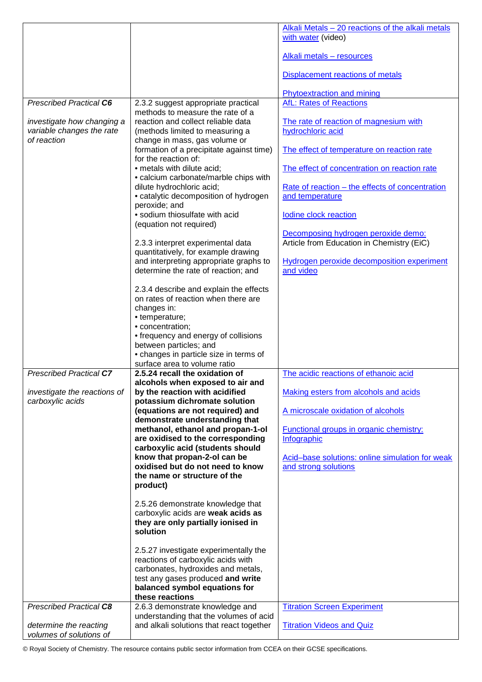|                                          |                                                                               | Alkali Metals – 20 reactions of the alkali metals      |
|------------------------------------------|-------------------------------------------------------------------------------|--------------------------------------------------------|
|                                          |                                                                               | with water (video)                                     |
|                                          |                                                                               | Alkali metals - resources                              |
|                                          |                                                                               | Displacement reactions of metals                       |
|                                          |                                                                               | <b>Phytoextraction and mining</b>                      |
| <b>Prescribed Practical C6</b>           | 2.3.2 suggest appropriate practical                                           | <b>AfL: Rates of Reactions</b>                         |
|                                          | methods to measure the rate of a                                              |                                                        |
| investigate how changing a               | reaction and collect reliable data                                            | The rate of reaction of magnesium with                 |
| variable changes the rate<br>of reaction | (methods limited to measuring a<br>change in mass, gas volume or              | hydrochloric acid                                      |
|                                          | formation of a precipitate against time)                                      | The effect of temperature on reaction rate             |
|                                          | for the reaction of:                                                          |                                                        |
|                                          | • metals with dilute acid;                                                    | The effect of concentration on reaction rate           |
|                                          | • calcium carbonate/marble chips with                                         |                                                        |
|                                          | dilute hydrochloric acid;                                                     | <u>Rate of reaction – the effects of concentration</u> |
|                                          | • catalytic decomposition of hydrogen                                         | and temperature                                        |
|                                          | peroxide; and                                                                 |                                                        |
|                                          | · sodium thiosulfate with acid                                                | lodine clock reaction                                  |
|                                          | (equation not required)                                                       | Decomposing hydrogen peroxide demo:                    |
|                                          | 2.3.3 interpret experimental data                                             | Article from Education in Chemistry (EiC)              |
|                                          | quantitatively, for example drawing                                           |                                                        |
|                                          | and interpreting appropriate graphs to                                        | Hydrogen peroxide decomposition experiment             |
|                                          | determine the rate of reaction; and                                           | and video                                              |
|                                          |                                                                               |                                                        |
|                                          | 2.3.4 describe and explain the effects<br>on rates of reaction when there are |                                                        |
|                                          | changes in:                                                                   |                                                        |
|                                          | • temperature;                                                                |                                                        |
|                                          | · concentration;                                                              |                                                        |
|                                          | • frequency and energy of collisions                                          |                                                        |
|                                          | between particles; and                                                        |                                                        |
|                                          | • changes in particle size in terms of<br>surface area to volume ratio        |                                                        |
| <b>Prescribed Practical C7</b>           | 2.5.24 recall the oxidation of                                                | The acidic reactions of ethanoic acid                  |
|                                          | alcohols when exposed to air and                                              |                                                        |
| investigate the reactions of             | by the reaction with acidified                                                | Making esters from alcohols and acids                  |
| carboxylic acids                         | potassium dichromate solution                                                 |                                                        |
|                                          | (equations are not required) and                                              | A microscale oxidation of alcohols                     |
|                                          | demonstrate understanding that<br>methanol, ethanol and propan-1-ol           | <b>Functional groups in organic chemistry:</b>         |
|                                          | are oxidised to the corresponding                                             | Infographic                                            |
|                                          | carboxylic acid (students should                                              |                                                        |
|                                          | know that propan-2-ol can be                                                  | Acid-base solutions: online simulation for weak        |
|                                          | oxidised but do not need to know                                              | and strong solutions                                   |
|                                          | the name or structure of the                                                  |                                                        |
|                                          | product)                                                                      |                                                        |
|                                          | 2.5.26 demonstrate knowledge that                                             |                                                        |
|                                          | carboxylic acids are weak acids as                                            |                                                        |
|                                          | they are only partially ionised in                                            |                                                        |
|                                          | solution                                                                      |                                                        |
|                                          |                                                                               |                                                        |
|                                          | 2.5.27 investigate experimentally the<br>reactions of carboxylic acids with   |                                                        |
|                                          | carbonates, hydroxides and metals,                                            |                                                        |
|                                          | test any gases produced and write                                             |                                                        |
|                                          | balanced symbol equations for                                                 |                                                        |
|                                          | these reactions                                                               |                                                        |
| <b>Prescribed Practical C8</b>           | 2.6.3 demonstrate knowledge and<br>understanding that the volumes of acid     | <b>Titration Screen Experiment</b>                     |
| determine the reacting                   | and alkali solutions that react together                                      | <b>Titration Videos and Quiz</b>                       |
| volumes of solutions of                  |                                                                               |                                                        |

© Royal Society of Chemistry. The resource contains public sector information from CCEA on their GCSE specifications.